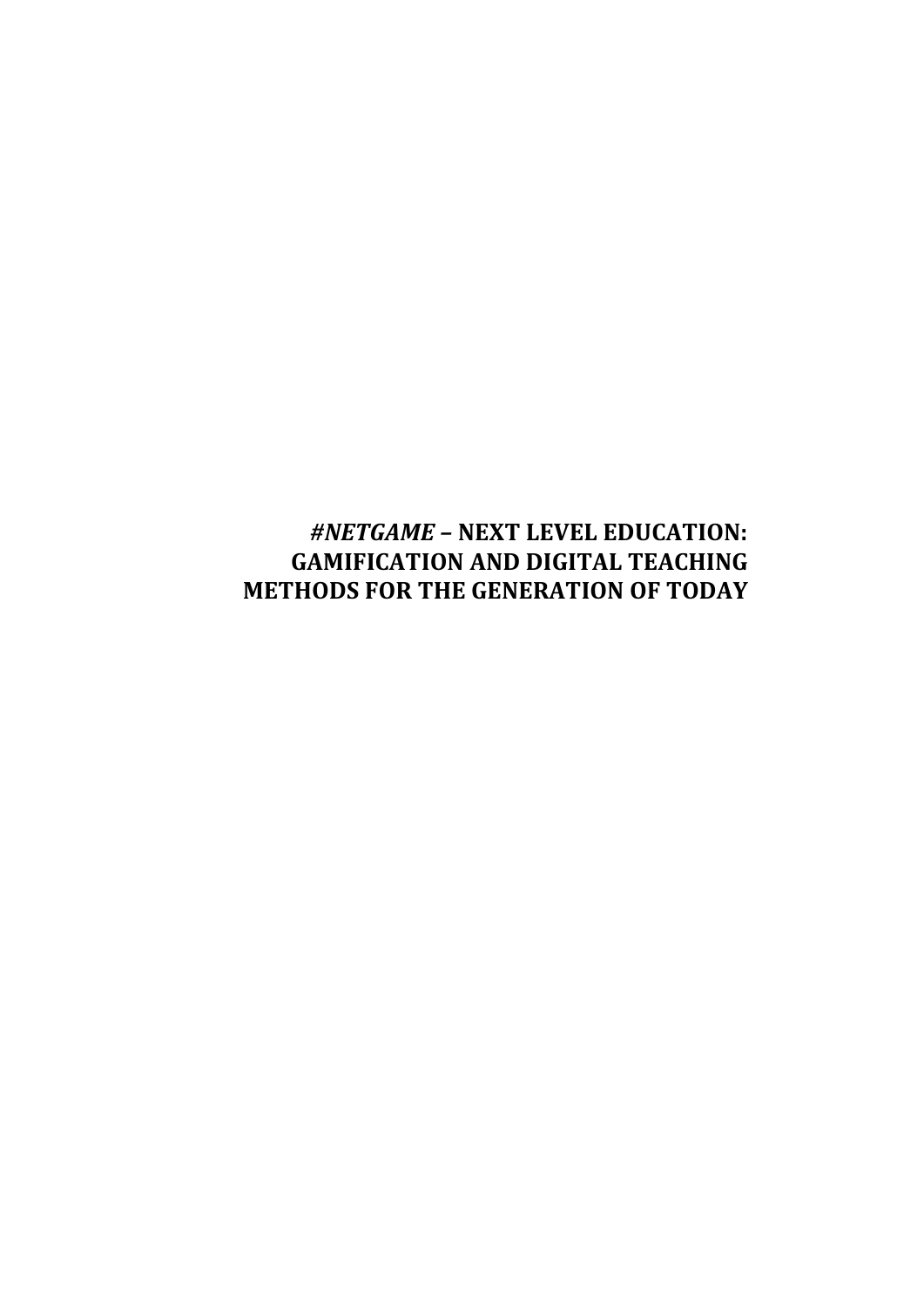# *#NETGAME –* **NEXT LEVEL EDUCATION: GAMIFICATION AND DIGITAL TEACHING METHODS FOR THE GENERATION OF TODAY**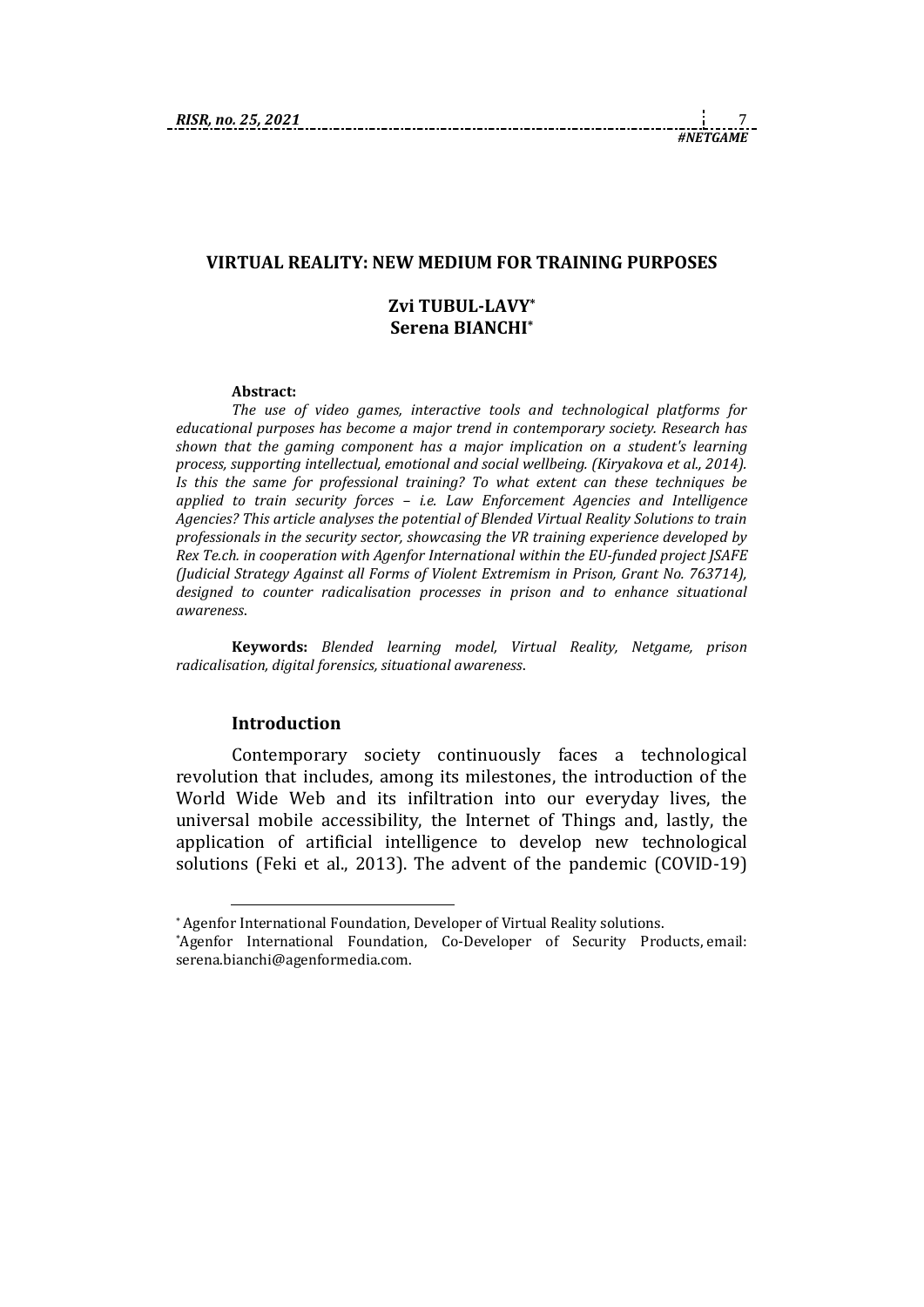#### **VIRTUAL REALITY: NEW MEDIUM FOR TRAINING PURPOSES**

#### **Zvi TUBUL-LAVY\* Serena BIANCHI\***

#### **Abstract:**

*The use of video games, interactive tools and technological platforms for educational purposes has become a major trend in contemporary society. Research has shown that the gaming component has a major implication on a student's learning process, supporting intellectual, emotional and social wellbeing. (Kiryakova et al., 2014). Is this the same for professional training? To what extent can these techniques be applied to train security forces – i.e. Law Enforcement Agencies and Intelligence Agencies? This article analyses the potential of Blended Virtual Reality Solutions to train professionals in the security sector, showcasing the VR training experience developed by Rex Te.ch. in cooperation with Agenfor International within the EU-funded project JSAFE (Judicial Strategy Against all Forms of Violent Extremism in Prison, Grant No. 763714), designed to counter radicalisation processes in prison and to enhance situational awareness*.

**Keywords:** *Blended learning model, Virtual Reality, Netgame, prison radicalisation, digital forensics, situational awareness*.

#### **Introduction**

1

Contemporary society continuously faces a technological revolution that includes, among its milestones, the introduction of the World Wide Web and its infiltration into our everyday lives, the universal mobile accessibility, the Internet of Things and, lastly, the application of artificial intelligence to develop new technological solutions (Feki et al., 2013). The advent of the pandemic (COVID-19)

<sup>\*</sup> Agenfor International Foundation, Developer of Virtual Reality solutions.

<sup>\*</sup>Agenfor International Foundation, Co-Developer of Security Products, email: serena.bianchi@agenformedia.com.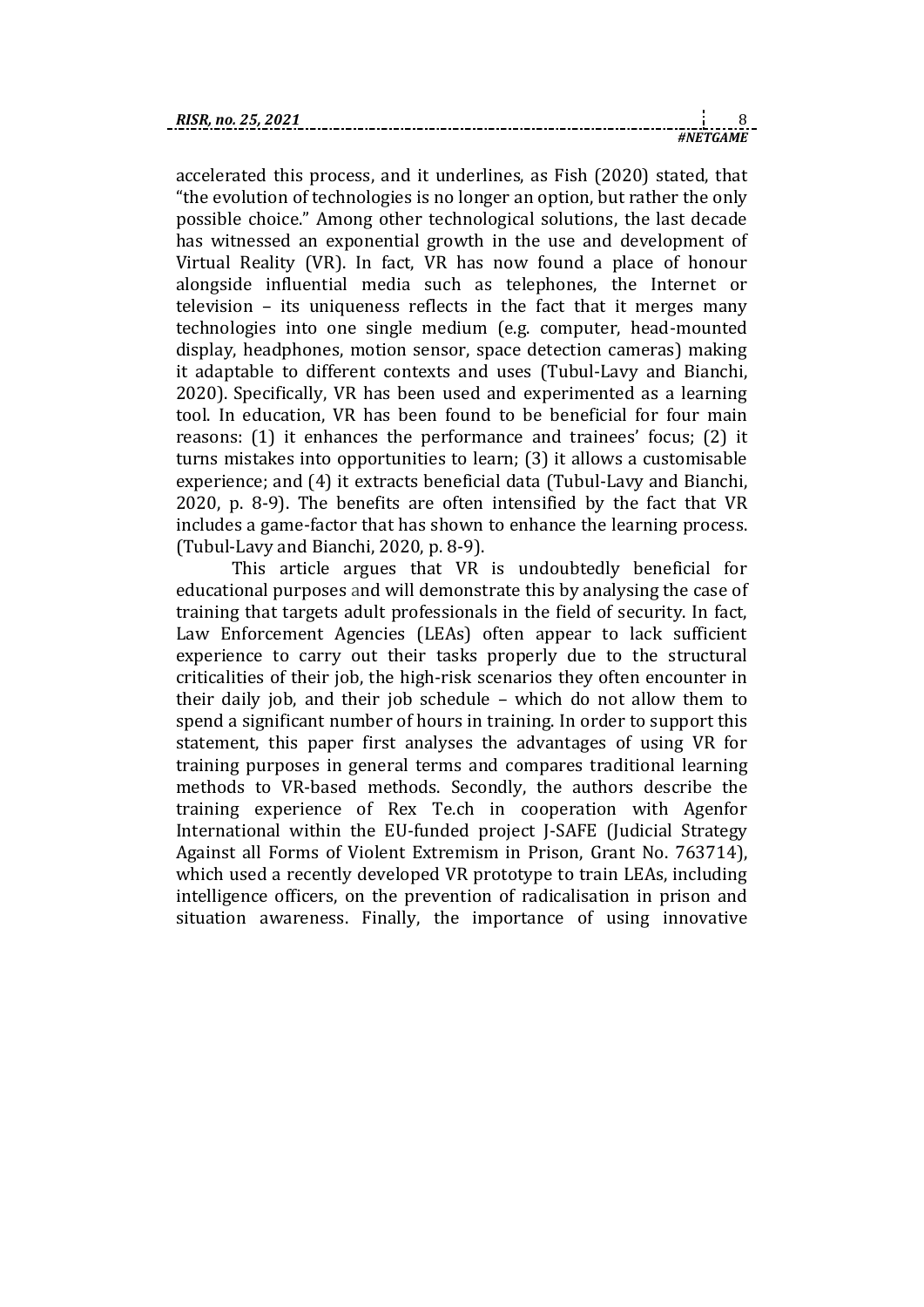accelerated this process, and it underlines, as Fish (2020) stated, that "the evolution of technologies is no longer an option, but rather the only possible choice." Among other technological solutions, the last decade has witnessed an exponential growth in the use and development of Virtual Reality (VR). In fact, VR has now found a place of honour alongside influential media such as telephones, the Internet or television – its uniqueness reflects in the fact that it merges many technologies into one single medium (e.g. computer, head-mounted display, headphones, motion sensor, space detection cameras) making it adaptable to different contexts and uses (Tubul-Lavy and Bianchi, 2020). Specifically, VR has been used and experimented as a learning tool. In education, VR has been found to be beneficial for four main reasons: (1) it enhances the performance and trainees' focus; (2) it turns mistakes into opportunities to learn; (3) it allows a customisable experience; and (4) it extracts beneficial data (Tubul-Lavy and Bianchi, 2020, p. 8-9). The benefits are often intensified by the fact that VR includes a game-factor that has shown to enhance the learning process. (Tubul-Lavy and Bianchi, 2020, p. 8-9).

This article argues that VR is undoubtedly beneficial for educational purposes and will demonstrate this by analysing the case of training that targets adult professionals in the field of security. In fact, Law Enforcement Agencies (LEAs) often appear to lack sufficient experience to carry out their tasks properly due to the structural criticalities of their job, the high-risk scenarios they often encounter in their daily job, and their job schedule – which do not allow them to spend a significant number of hours in training. In order to support this statement, this paper first analyses the advantages of using VR for training purposes in general terms and compares traditional learning methods to VR-based methods. Secondly, the authors describe the training experience of Rex Te.ch in cooperation with Agenfor International within the EU-funded project J-SAFE (Judicial Strategy Against all Forms of Violent Extremism in Prison, Grant No. 763714), which used a recently developed VR prototype to train LEAs, including intelligence officers, on the prevention of radicalisation in prison and situation awareness. Finally, the importance of using innovative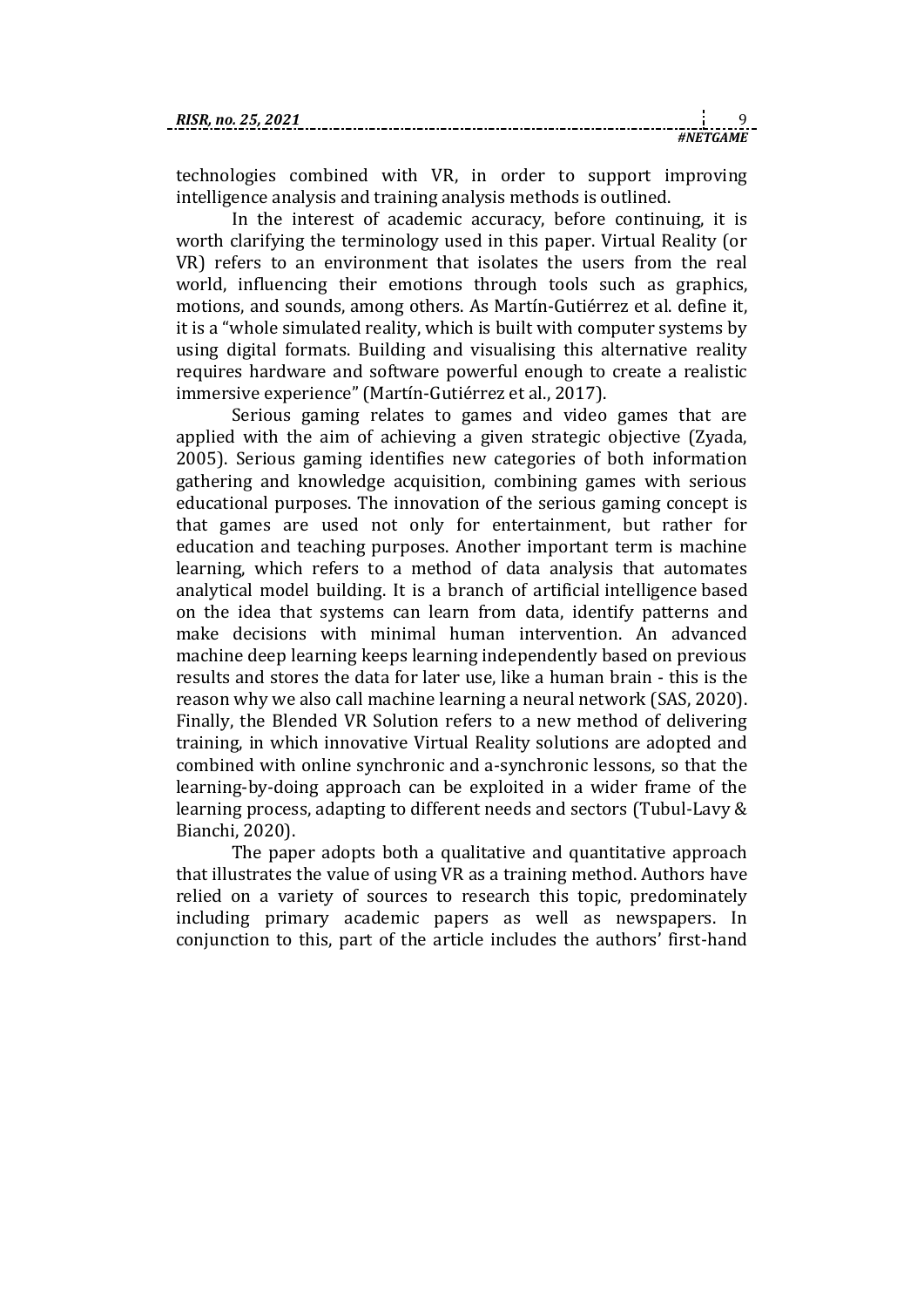technologies combined with VR, in order to support improving intelligence analysis and training analysis methods is outlined.

In the interest of academic accuracy, before continuing, it is worth clarifying the terminology used in this paper. Virtual Reality (or VR) refers to an environment that isolates the users from the real world, influencing their emotions through tools such as graphics, motions, and sounds, among others. As Martín-Gutiérrez et al. define it, it is a "whole simulated reality, which is built with computer systems by using digital formats. Building and visualising this alternative reality requires hardware and software powerful enough to create a realistic immersive experience" (Martín-Gutiérrez et al., 2017).

Serious gaming relates to games and video games that are applied with the aim of achieving a given strategic objective (Zyada, 2005). Serious gaming identifies new categories of both information gathering and knowledge acquisition, combining games with serious educational purposes. The innovation of the serious gaming concept is that games are used not only for entertainment, but rather for education and teaching purposes. Another important term is machine learning, which refers to a method of data analysis that automates analytical model building. It is a branch of artificial intelligence based on the idea that systems can learn from data, identify patterns and make decisions with minimal human intervention. An advanced machine deep learning keeps learning independently based on previous results and stores the data for later use, like a human brain - this is the reason why we also call machine learning a neural network (SAS, 2020). Finally, the Blended VR Solution refers to a new method of delivering training, in which innovative Virtual Reality solutions are adopted and combined with online synchronic and a-synchronic lessons, so that the learning-by-doing approach can be exploited in a wider frame of the learning process, adapting to different needs and sectors (Tubul-Lavy & Bianchi, 2020).

The paper adopts both a qualitative and quantitative approach that illustrates the value of using VR as a training method. Authors have relied on a variety of sources to research this topic, predominately including primary academic papers as well as newspapers. In conjunction to this, part of the article includes the authors' first-hand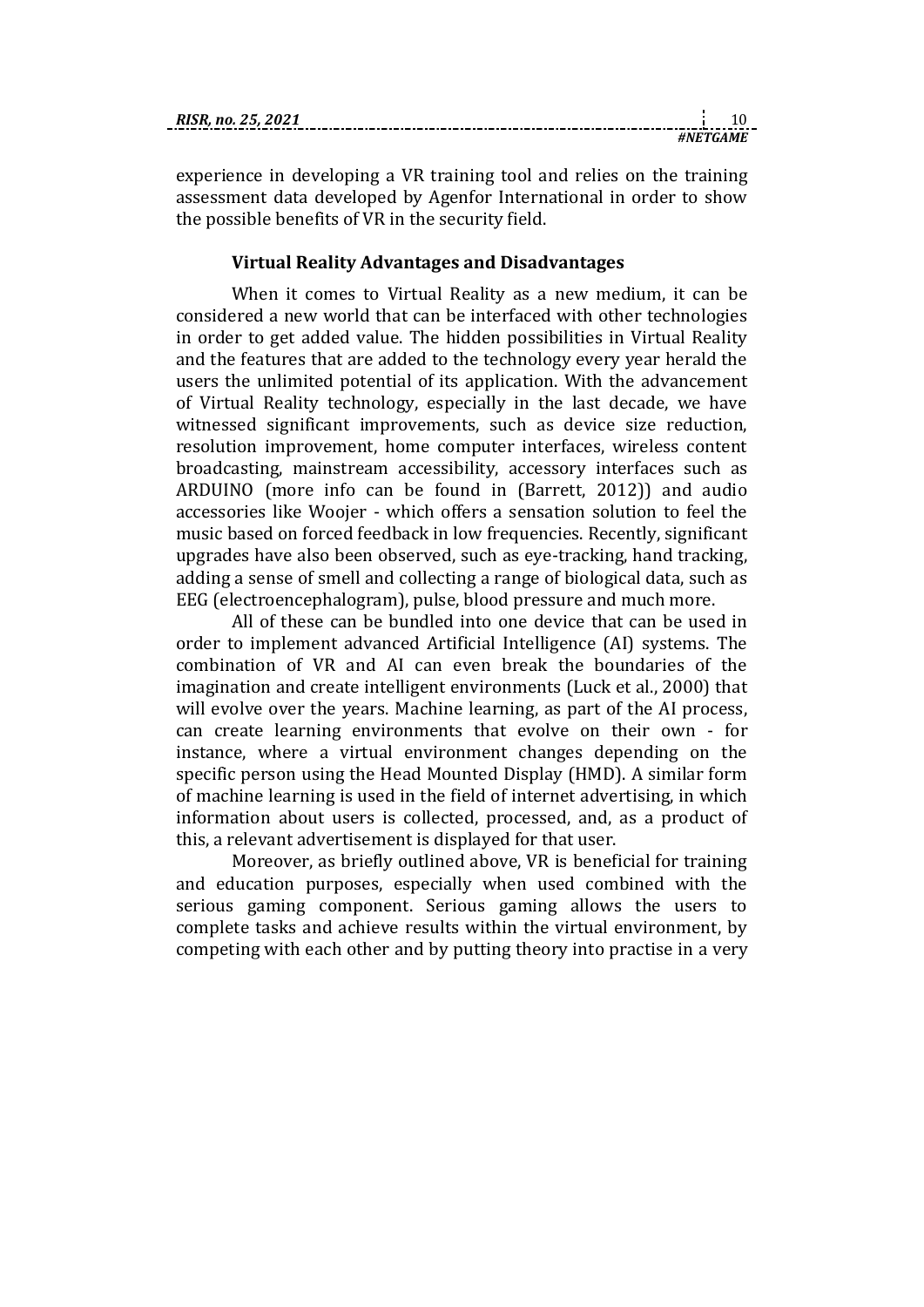*#NETGAME*

experience in developing a VR training tool and relies on the training assessment data developed by Agenfor International in order to show the possible benefits of VR in the security field.

#### **Virtual Reality Advantages and Disadvantages**

When it comes to Virtual Reality as a new medium, it can be considered a new world that can be interfaced with other technologies in order to get added value. The hidden possibilities in Virtual Reality and the features that are added to the technology every year herald the users the unlimited potential of its application. With the advancement of Virtual Reality technology, especially in the last decade, we have witnessed significant improvements, such as device size reduction, resolution improvement, home computer interfaces, wireless content broadcasting, mainstream accessibility, accessory interfaces such as ARDUINO (more info can be found in (Barrett, 2012)) and audio accessories like Woojer - which offers a sensation solution to feel the music based on forced feedback in low frequencies. Recently, significant upgrades have also been observed, such as eye-tracking, hand tracking, adding a sense of smell and collecting a range of biological data, such as EEG (electroencephalogram), pulse, blood pressure and much more.

All of these can be bundled into one device that can be used in order to implement advanced Artificial Intelligence (AI) systems. The combination of VR and AI can even break the boundaries of the imagination and create intelligent environments (Luck et al., 2000) that will evolve over the years. Machine learning, as part of the AI process, can create learning environments that evolve on their own - for instance, where a virtual environment changes depending on the specific person using the Head Mounted Display (HMD). A similar form of machine learning is used in the field of internet advertising, in which information about users is collected, processed, and, as a product of this, a relevant advertisement is displayed for that user.

Moreover, as briefly outlined above, VR is beneficial for training and education purposes, especially when used combined with the serious gaming component. Serious gaming allows the users to complete tasks and achieve results within the virtual environment, by competing with each other and by putting theory into practise in a very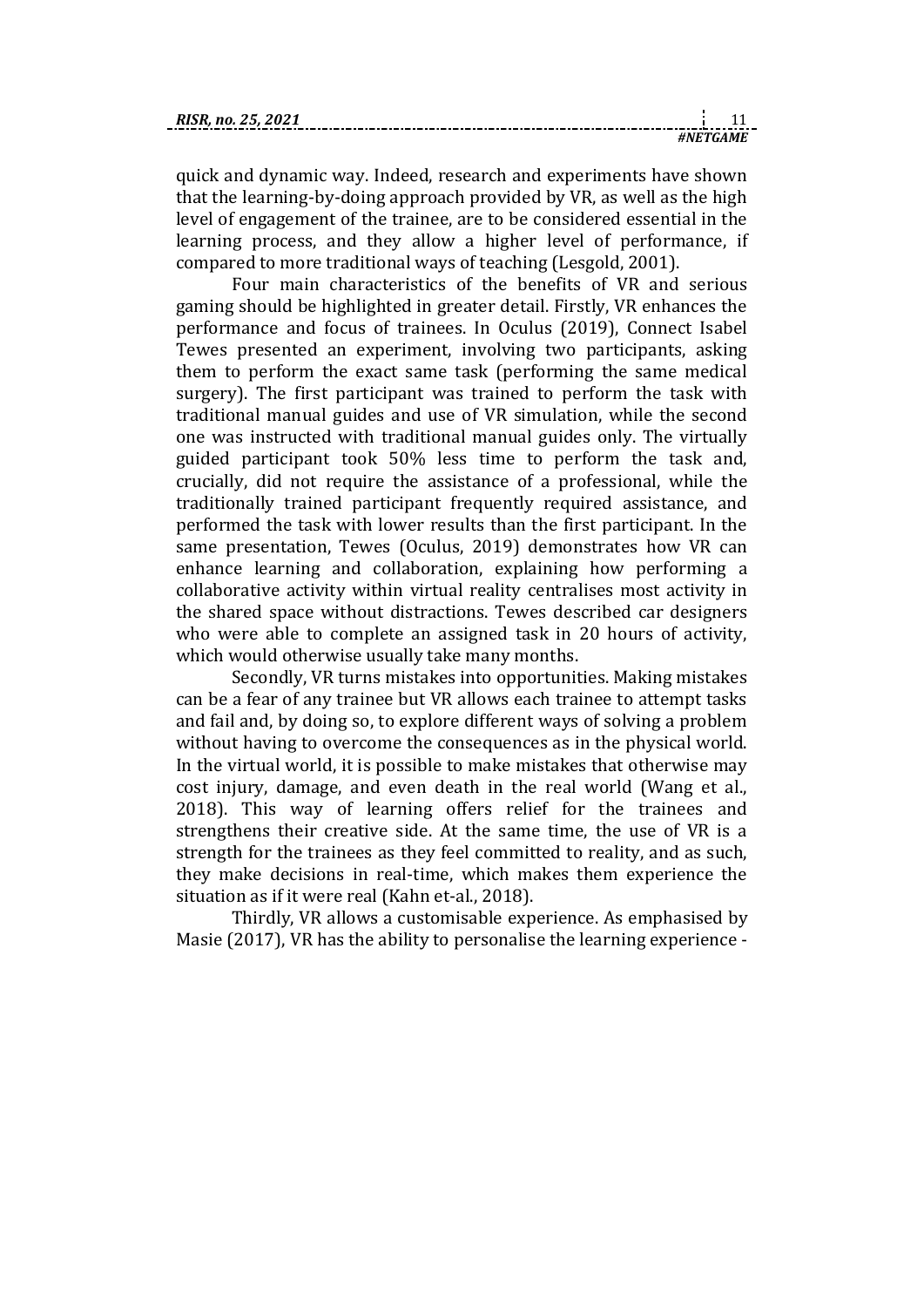quick and dynamic way. Indeed, research and experiments have shown that the learning-by-doing approach provided by VR, as well as the high level of engagement of the trainee, are to be considered essential in the learning process, and they allow a higher level of performance, if compared to more traditional ways of teaching (Lesgold, 2001).

Four main characteristics of the benefits of VR and serious gaming should be highlighted in greater detail. Firstly, VR enhances the performance and focus of trainees. In Oculus (2019), Connect Isabel Tewes presented an experiment, involving two participants, asking them to perform the exact same task (performing the same medical surgery). The first participant was trained to perform the task with traditional manual guides and use of VR simulation, while the second one was instructed with traditional manual guides only. The virtually guided participant took 50% less time to perform the task and, crucially, did not require the assistance of a professional, while the traditionally trained participant frequently required assistance, and performed the task with lower results than the first participant. In the same presentation, Tewes (Oculus, 2019) demonstrates how VR can enhance learning and collaboration, explaining how performing a collaborative activity within virtual reality centralises most activity in the shared space without distractions. Tewes described car designers who were able to complete an assigned task in 20 hours of activity, which would otherwise usually take many months.

Secondly, VR turns mistakes into opportunities. Making mistakes can be a fear of any trainee but VR allows each trainee to attempt tasks and fail and, by doing so, to explore different ways of solving a problem without having to overcome the consequences as in the physical world. In the virtual world, it is possible to make mistakes that otherwise may cost injury, damage, and even death in the real world (Wang et al., 2018). This way of learning offers relief for the trainees and strengthens their creative side. At the same time, the use of VR is a strength for the trainees as they feel committed to reality, and as such, they make decisions in real-time, which makes them experience the situation as if it were real (Kahn et-al., 2018).

Thirdly, VR allows a customisable experience. As emphasised by Masie (2017), VR has the ability to personalise the learning experience -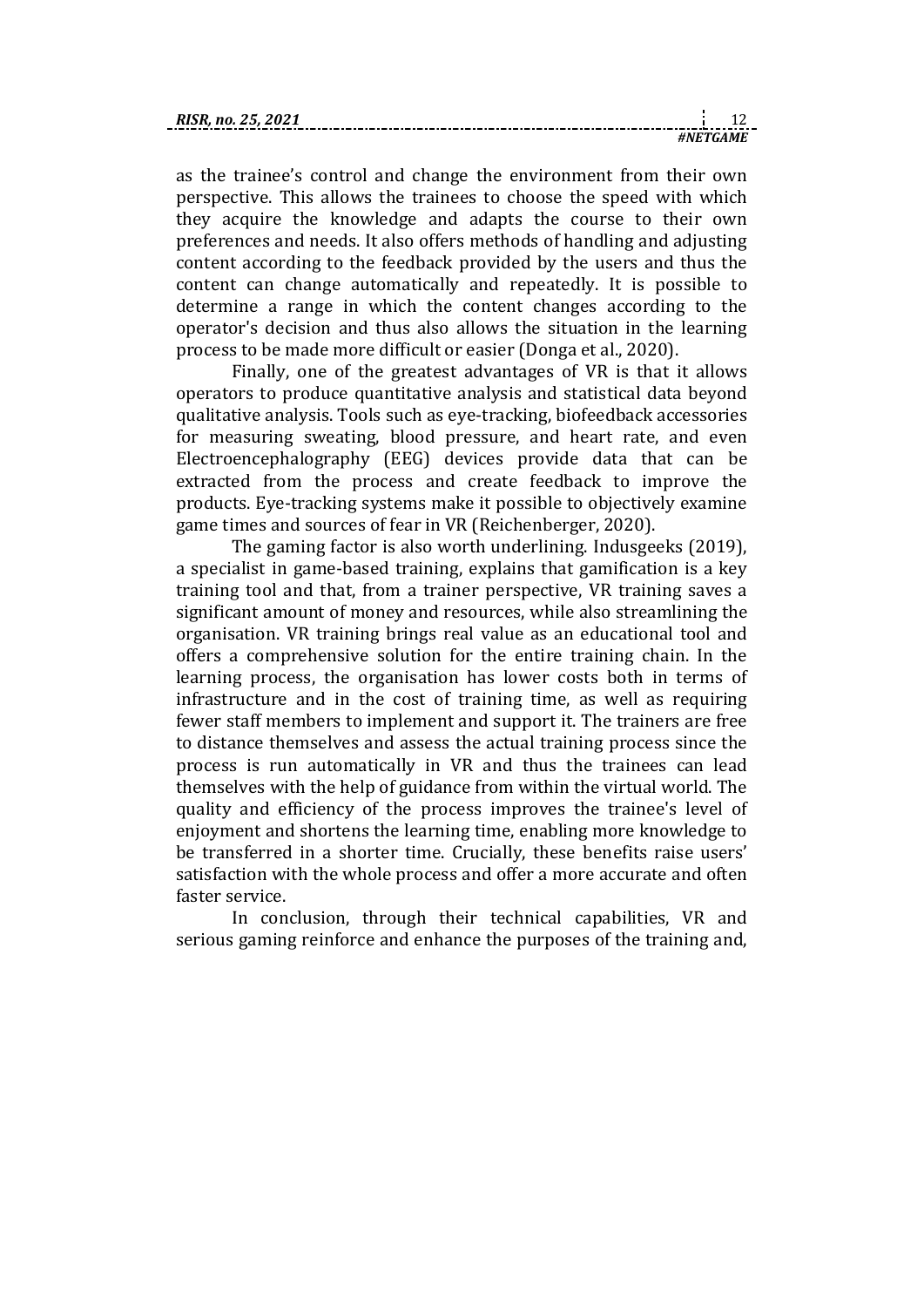as the trainee's control and change the environment from their own perspective. This allows the trainees to choose the speed with which they acquire the knowledge and adapts the course to their own preferences and needs. It also offers methods of handling and adjusting content according to the feedback provided by the users and thus the content can change automatically and repeatedly. It is possible to determine a range in which the content changes according to the operator's decision and thus also allows the situation in the learning process to be made more difficult or easier (Donga et al., 2020).

Finally, one of the greatest advantages of VR is that it allows operators to produce quantitative analysis and statistical data beyond qualitative analysis. Tools such as eye-tracking, biofeedback accessories for measuring sweating, blood pressure, and heart rate, and even Electroencephalography (EEG) devices provide data that can be extracted from the process and create feedback to improve the products. Eye-tracking systems make it possible to objectively examine game times and sources of fear in VR (Reichenberger, 2020).

The gaming factor is also worth underlining. Indusgeeks (2019), a specialist in game-based training, explains that gamification is a key training tool and that, from a trainer perspective, VR training saves a significant amount of money and resources, while also streamlining the organisation. VR training brings real value as an educational tool and offers a comprehensive solution for the entire training chain. In the learning process, the organisation has lower costs both in terms of infrastructure and in the cost of training time, as well as requiring fewer staff members to implement and support it. The trainers are free to distance themselves and assess the actual training process since the process is run automatically in VR and thus the trainees can lead themselves with the help of guidance from within the virtual world. The quality and efficiency of the process improves the trainee's level of enjoyment and shortens the learning time, enabling more knowledge to be transferred in a shorter time. Crucially, these benefits raise users' satisfaction with the whole process and offer a more accurate and often faster service.

In conclusion, through their technical capabilities, VR and serious gaming reinforce and enhance the purposes of the training and,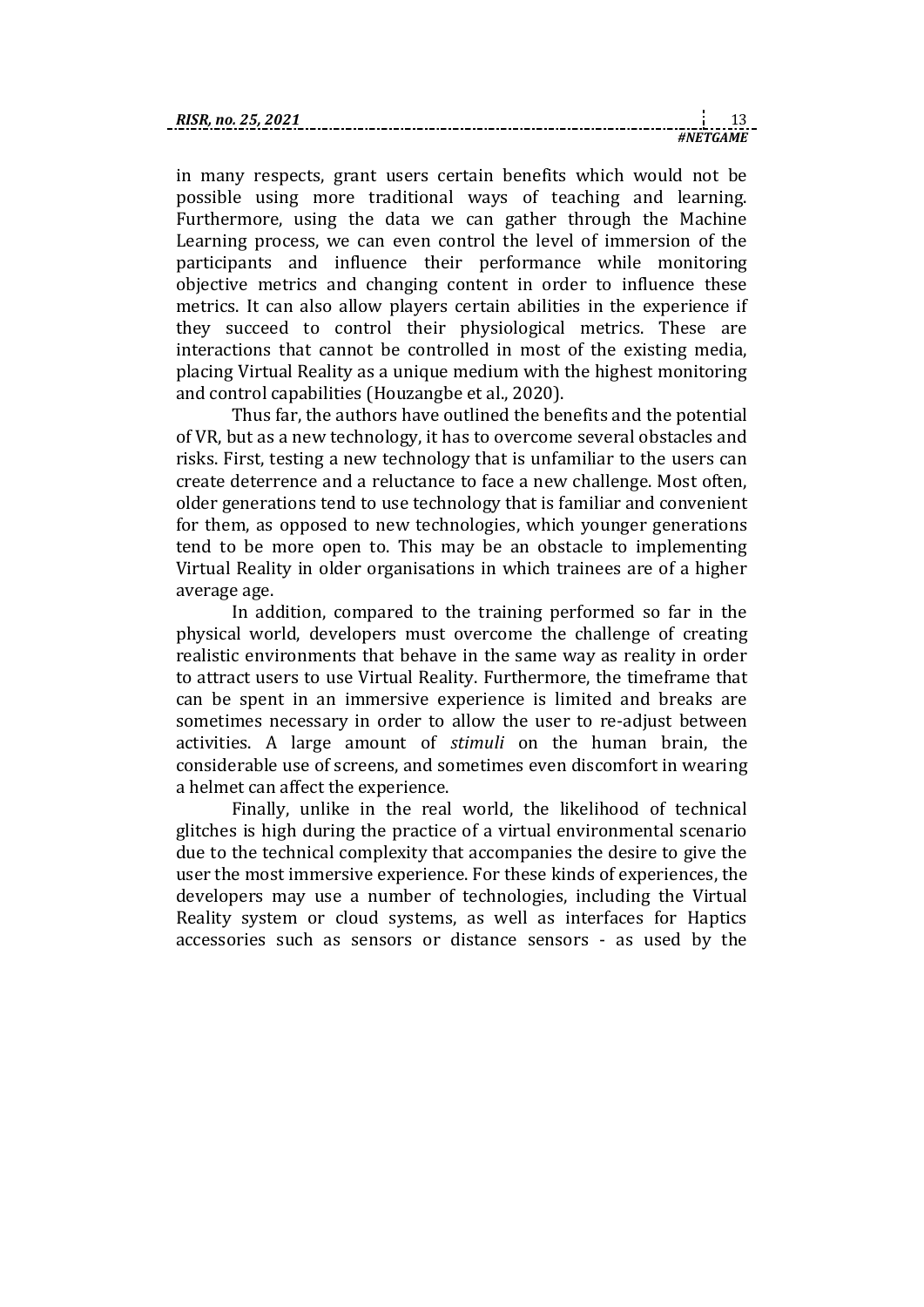| RIS |  |
|-----|--|
|     |  |

in many respects, grant users certain benefits which would not be possible using more traditional ways of teaching and learning. Furthermore, using the data we can gather through the Machine Learning process, we can even control the level of immersion of the participants and influence their performance while monitoring objective metrics and changing content in order to influence these metrics. It can also allow players certain abilities in the experience if they succeed to control their physiological metrics. These are interactions that cannot be controlled in most of the existing media, placing Virtual Reality as a unique medium with the highest monitoring and control capabilities (Houzangbe et al., 2020).

Thus far, the authors have outlined the benefits and the potential of VR, but as a new technology, it has to overcome several obstacles and risks. First, testing a new technology that is unfamiliar to the users can create deterrence and a reluctance to face a new challenge. Most often, older generations tend to use technology that is familiar and convenient for them, as opposed to new technologies, which younger generations tend to be more open to. This may be an obstacle to implementing Virtual Reality in older organisations in which trainees are of a higher average age.

In addition, compared to the training performed so far in the physical world, developers must overcome the challenge of creating realistic environments that behave in the same way as reality in order to attract users to use Virtual Reality. Furthermore, the timeframe that can be spent in an immersive experience is limited and breaks are sometimes necessary in order to allow the user to re-adjust between activities. A large amount of *stimuli* on the human brain, the considerable use of screens, and sometimes even discomfort in wearing a helmet can affect the experience.

Finally, unlike in the real world, the likelihood of technical glitches is high during the practice of a virtual environmental scenario due to the technical complexity that accompanies the desire to give the user the most immersive experience. For these kinds of experiences, the developers may use a number of technologies, including the Virtual Reality system or cloud systems, as well as interfaces for Haptics accessories such as sensors or distance sensors - as used by the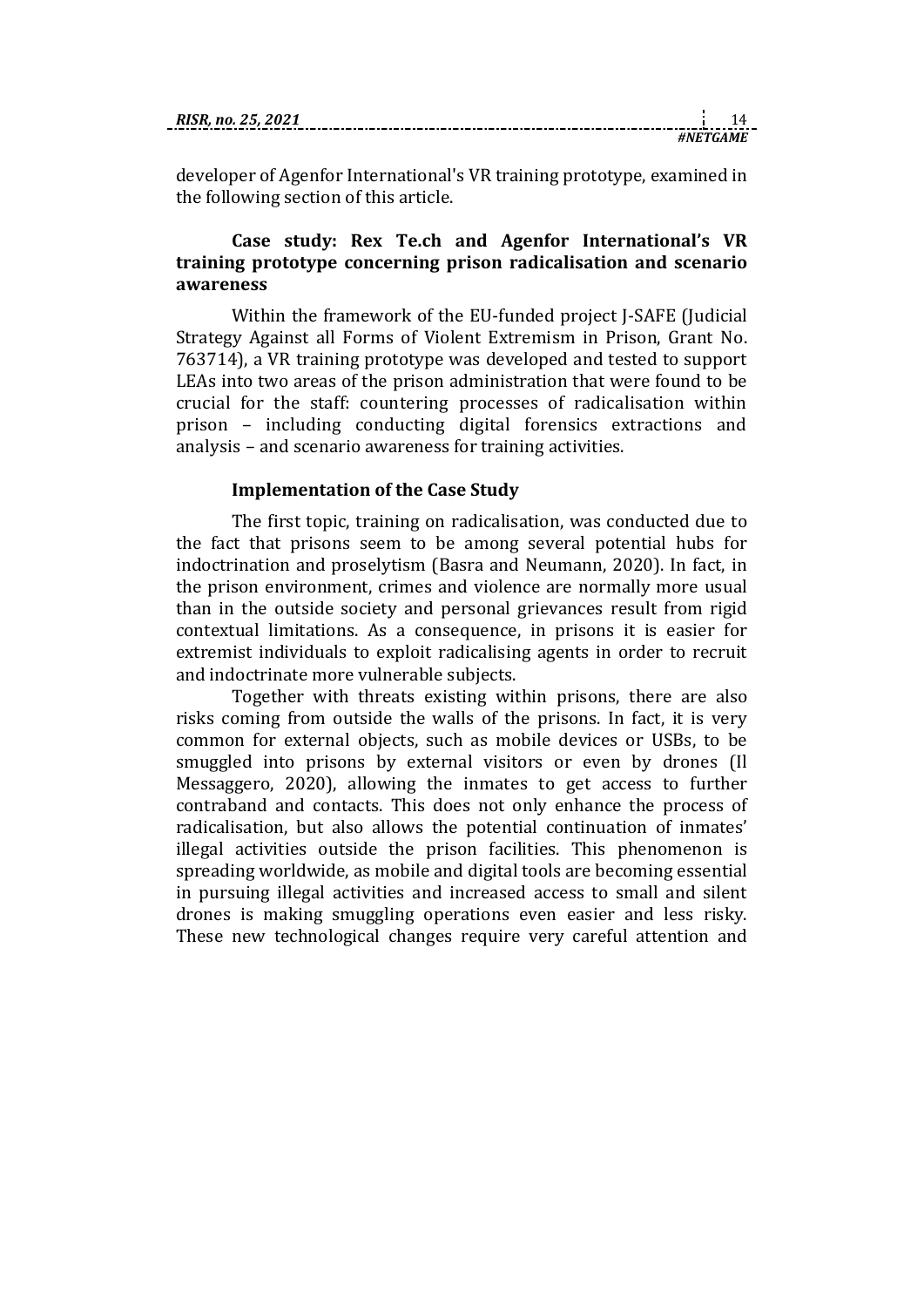| RISR. no. 25. 2021 |  |  |
|--------------------|--|--|
|                    |  |  |

*#NETGAME*

developer of Agenfor International's VR training prototype, examined in the following section of this article.

## **Case study: Rex Te.ch and Agenfor International's VR training prototype concerning prison radicalisation and scenario awareness**

Within the framework of the EU-funded project J-SAFE (Judicial Strategy Against all Forms of Violent Extremism in Prison, Grant No. 763714), a VR training prototype was developed and tested to support LEAs into two areas of the prison administration that were found to be crucial for the staff: countering processes of radicalisation within prison – including conducting digital forensics extractions and analysis – and scenario awareness for training activities.

### **Implementation of the Case Study**

The first topic, training on radicalisation, was conducted due to the fact that prisons seem to be among several potential hubs for indoctrination and proselytism (Basra and Neumann, 2020). In fact, in the prison environment, crimes and violence are normally more usual than in the outside society and personal grievances result from rigid contextual limitations. As a consequence, in prisons it is easier for extremist individuals to exploit radicalising agents in order to recruit and indoctrinate more vulnerable subjects.

Together with threats existing within prisons, there are also risks coming from outside the walls of the prisons. In fact, it is very common for external objects, such as mobile devices or USBs, to be smuggled into prisons by external visitors or even by drones (Il Messaggero, 2020), allowing the inmates to get access to further contraband and contacts. This does not only enhance the process of radicalisation, but also allows the potential continuation of inmates' illegal activities outside the prison facilities. This phenomenon is spreading worldwide, as mobile and digital tools are becoming essential in pursuing illegal activities and increased access to small and silent drones is making smuggling operations even easier and less risky. These new technological changes require very careful attention and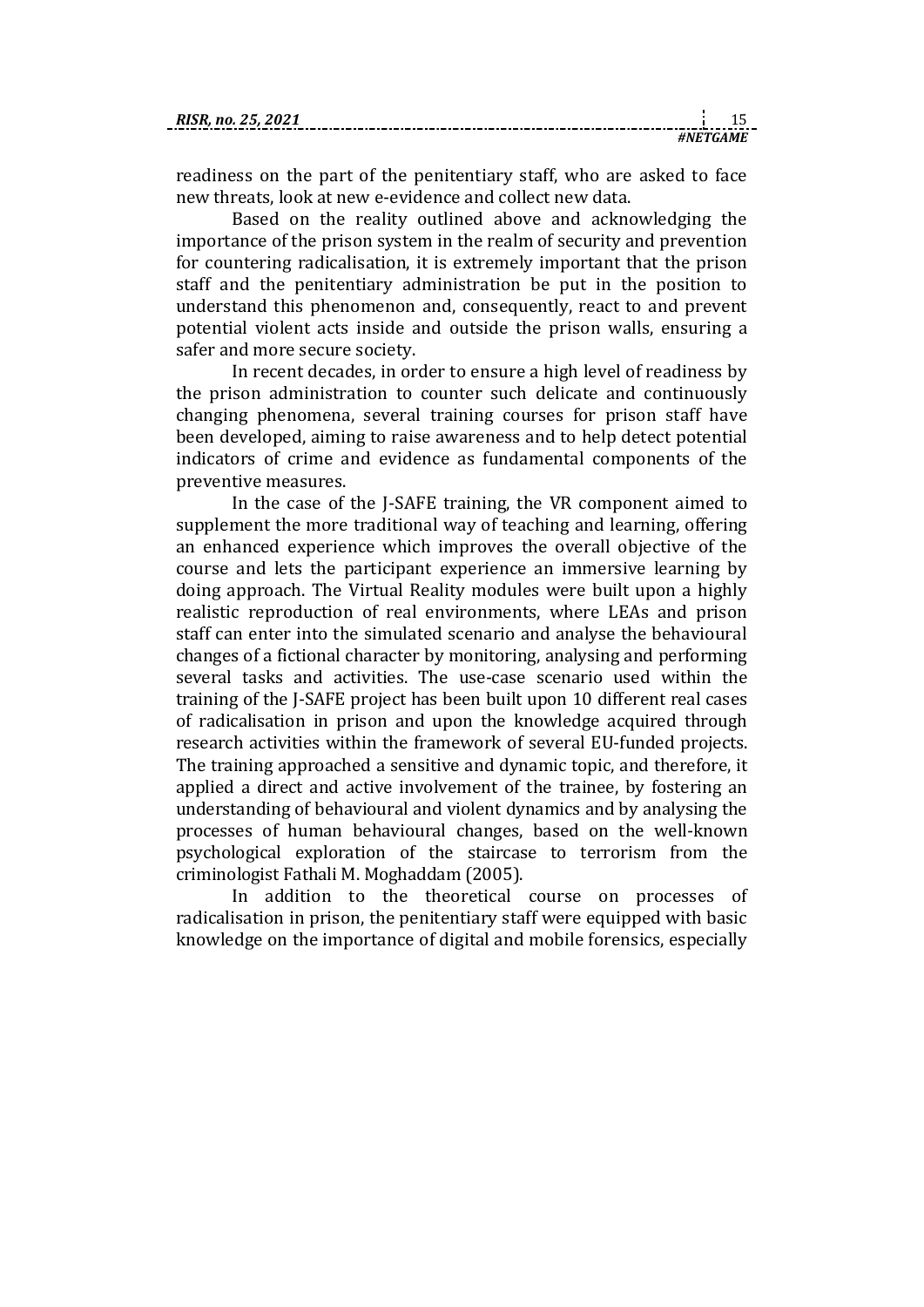readiness on the part of the penitentiary staff, who are asked to face new threats, look at new e-evidence and collect new data.

Based on the reality outlined above and acknowledging the importance of the prison system in the realm of security and prevention for countering radicalisation, it is extremely important that the prison staff and the penitentiary administration be put in the position to understand this phenomenon and, consequently, react to and prevent potential violent acts inside and outside the prison walls, ensuring a safer and more secure society.

In recent decades, in order to ensure a high level of readiness by the prison administration to counter such delicate and continuously changing phenomena, several training courses for prison staff have been developed, aiming to raise awareness and to help detect potential indicators of crime and evidence as fundamental components of the preventive measures.

In the case of the J-SAFE training, the VR component aimed to supplement the more traditional way of teaching and learning, offering an enhanced experience which improves the overall objective of the course and lets the participant experience an immersive learning by doing approach. The Virtual Reality modules were built upon a highly realistic reproduction of real environments, where LEAs and prison staff can enter into the simulated scenario and analyse the behavioural changes of a fictional character by monitoring, analysing and performing several tasks and activities. The use-case scenario used within the training of the J-SAFE project has been built upon 10 different real cases of radicalisation in prison and upon the knowledge acquired through research activities within the framework of several EU-funded projects. The training approached a sensitive and dynamic topic, and therefore, it applied a direct and active involvement of the trainee, by fostering an understanding of behavioural and violent dynamics and by analysing the processes of human behavioural changes, based on the well-known psychological exploration of the staircase to terrorism from the criminologist Fathali M. Moghaddam (2005).

In addition to the theoretical course on processes of radicalisation in prison, the penitentiary staff were equipped with basic knowledge on the importance of digital and mobile forensics, especially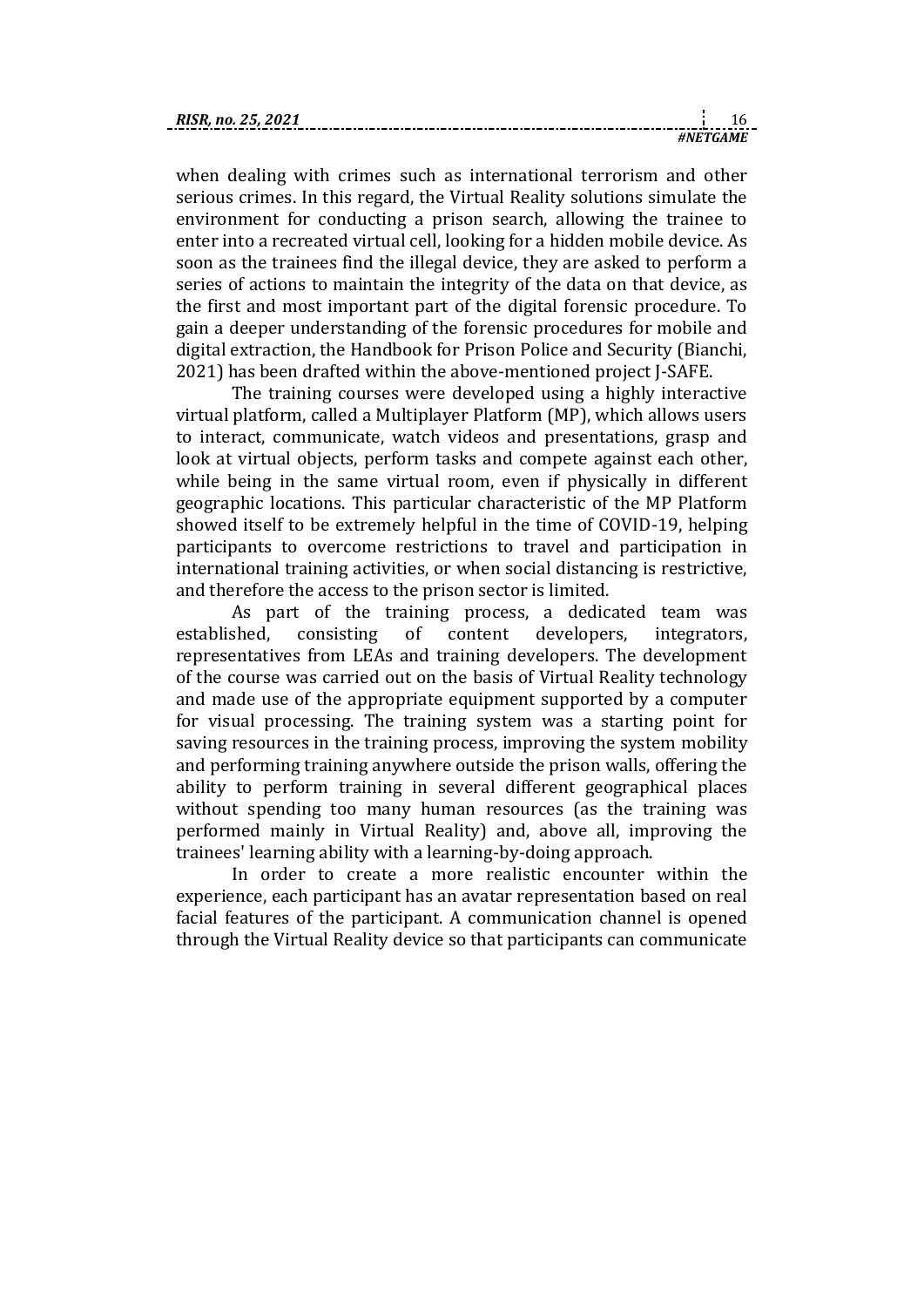when dealing with crimes such as international terrorism and other serious crimes. In this regard, the Virtual Reality solutions simulate the environment for conducting a prison search, allowing the trainee to enter into a recreated virtual cell, looking for a hidden mobile device. As soon as the trainees find the illegal device, they are asked to perform a series of actions to maintain the integrity of the data on that device, as the first and most important part of the digital forensic procedure. To gain a deeper understanding of the forensic procedures for mobile and digital extraction, the Handbook for Prison Police and Security (Bianchi, 2021) has been drafted within the above-mentioned project J-SAFE.

*#NETGAME*

The training courses were developed using a highly interactive virtual platform, called a Multiplayer Platform (MP), which allows users to interact, communicate, watch videos and presentations, grasp and look at virtual objects, perform tasks and compete against each other, while being in the same virtual room, even if physically in different geographic locations. This particular characteristic of the MP Platform showed itself to be extremely helpful in the time of COVID-19, helping participants to overcome restrictions to travel and participation in international training activities, or when social distancing is restrictive, and therefore the access to the prison sector is limited.

As part of the training process, a dedicated team was established, consisting of content developers, integrators, representatives from LEAs and training developers. The development of the course was carried out on the basis of Virtual Reality technology and made use of the appropriate equipment supported by a computer for visual processing. The training system was a starting point for saving resources in the training process, improving the system mobility and performing training anywhere outside the prison walls, offering the ability to perform training in several different geographical places without spending too many human resources (as the training was performed mainly in Virtual Reality) and, above all, improving the trainees' learning ability with a learning-by-doing approach.

In order to create a more realistic encounter within the experience, each participant has an avatar representation based on real facial features of the participant. A communication channel is opened through the Virtual Reality device so that participants can communicate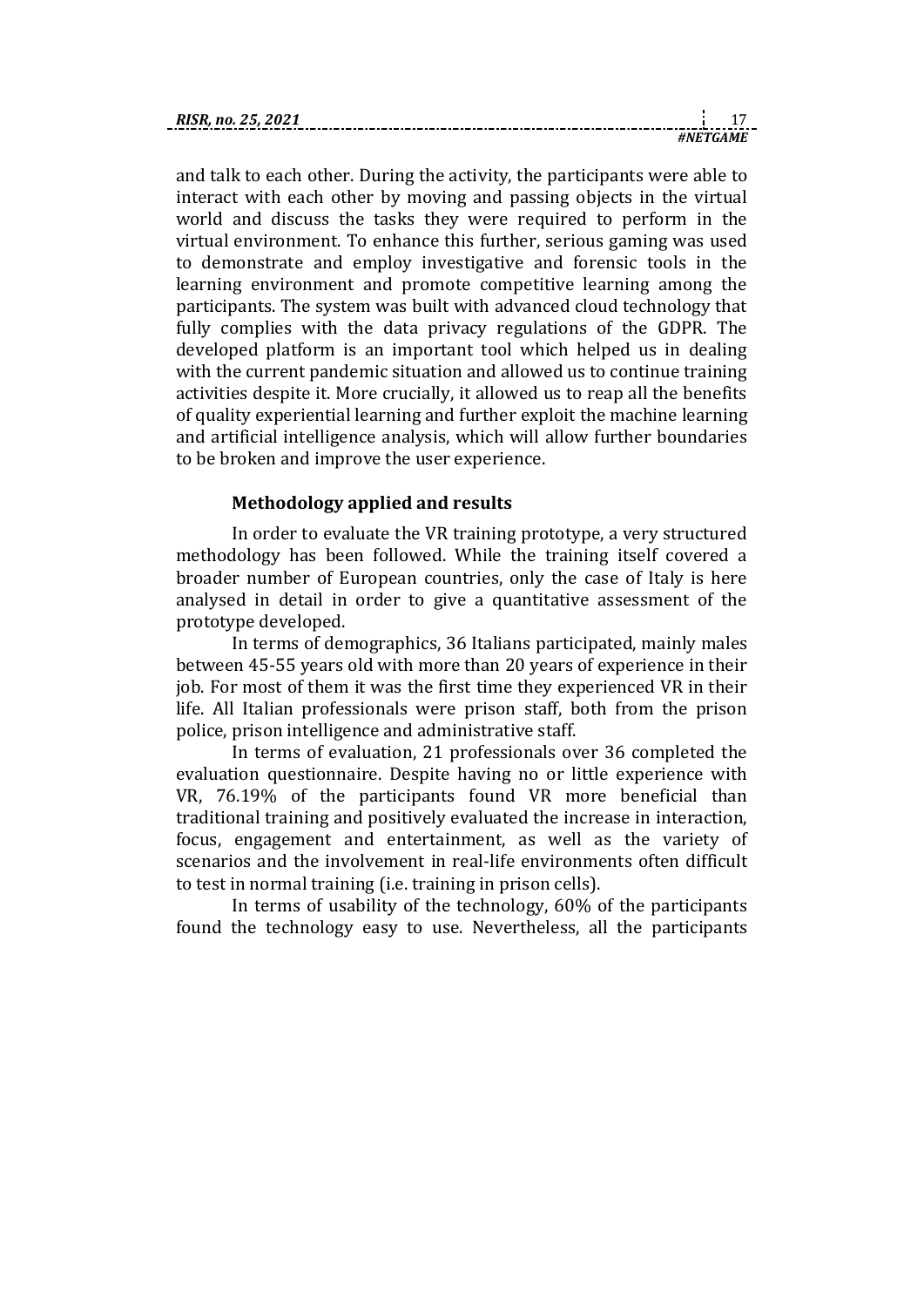| RIS |  |
|-----|--|
|     |  |

and talk to each other. During the activity, the participants were able to interact with each other by moving and passing objects in the virtual world and discuss the tasks they were required to perform in the virtual environment. To enhance this further, serious gaming was used to demonstrate and employ investigative and forensic tools in the learning environment and promote competitive learning among the participants. The system was built with advanced cloud technology that fully complies with the data privacy regulations of the GDPR. The developed platform is an important tool which helped us in dealing with the current pandemic situation and allowed us to continue training activities despite it. More crucially, it allowed us to reap all the benefits of quality experiential learning and further exploit the machine learning and artificial intelligence analysis, which will allow further boundaries to be broken and improve the user experience.

# **Methodology applied and results**

In order to evaluate the VR training prototype, a very structured methodology has been followed. While the training itself covered a broader number of European countries, only the case of Italy is here analysed in detail in order to give a quantitative assessment of the prototype developed.

In terms of demographics, 36 Italians participated, mainly males between 45-55 years old with more than 20 years of experience in their job. For most of them it was the first time they experienced VR in their life. All Italian professionals were prison staff, both from the prison police, prison intelligence and administrative staff.

In terms of evaluation, 21 professionals over 36 completed the evaluation questionnaire. Despite having no or little experience with VR, 76.19% of the participants found VR more beneficial than traditional training and positively evaluated the increase in interaction, focus, engagement and entertainment, as well as the variety of scenarios and the involvement in real-life environments often difficult to test in normal training (i.e. training in prison cells).

In terms of usability of the technology, 60% of the participants found the technology easy to use. Nevertheless, all the participants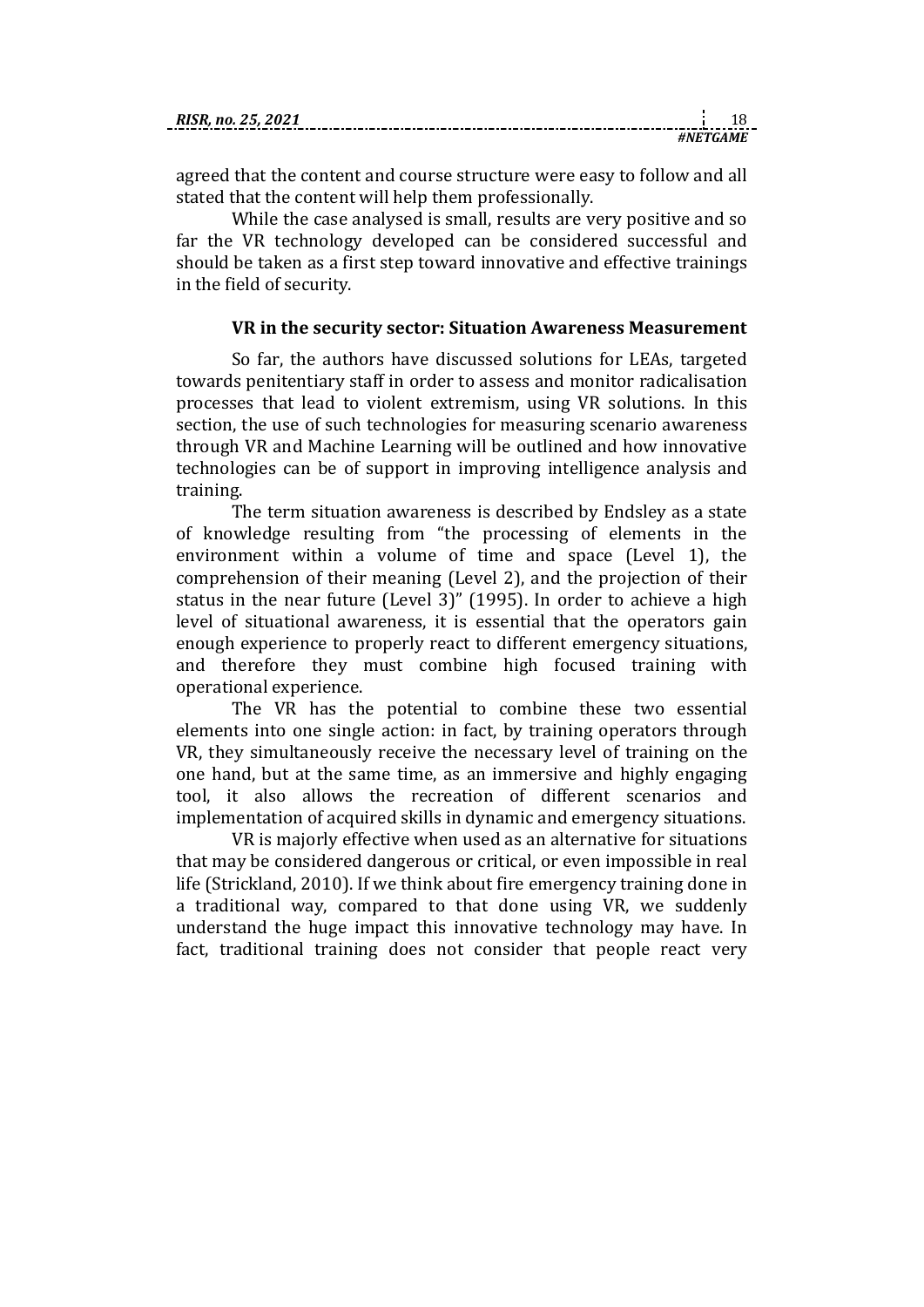agreed that the content and course structure were easy to follow and all stated that the content will help them professionally.

While the case analysed is small, results are very positive and so far the VR technology developed can be considered successful and should be taken as a first step toward innovative and effective trainings in the field of security.

#### **VR in the security sector: Situation Awareness Measurement**

So far, the authors have discussed solutions for LEAs, targeted towards penitentiary staff in order to assess and monitor radicalisation processes that lead to violent extremism, using VR solutions. In this section, the use of such technologies for measuring scenario awareness through VR and Machine Learning will be outlined and how innovative technologies can be of support in improving intelligence analysis and training.

The term situation awareness is described by Endsley as a state of knowledge resulting from "the processing of elements in the environment within a volume of time and space (Level 1), the comprehension of their meaning (Level 2), and the projection of their status in the near future (Level 3)" (1995). In order to achieve a high level of situational awareness, it is essential that the operators gain enough experience to properly react to different emergency situations, and therefore they must combine high focused training with operational experience.

The VR has the potential to combine these two essential elements into one single action: in fact, by training operators through VR, they simultaneously receive the necessary level of training on the one hand, but at the same time, as an immersive and highly engaging tool, it also allows the recreation of different scenarios and implementation of acquired skills in dynamic and emergency situations.

VR is majorly effective when used as an alternative for situations that may be considered dangerous or critical, or even impossible in real life (Strickland, 2010). If we think about fire emergency training done in a traditional way, compared to that done using VR, we suddenly understand the huge impact this innovative technology may have. In fact, traditional training does not consider that people react very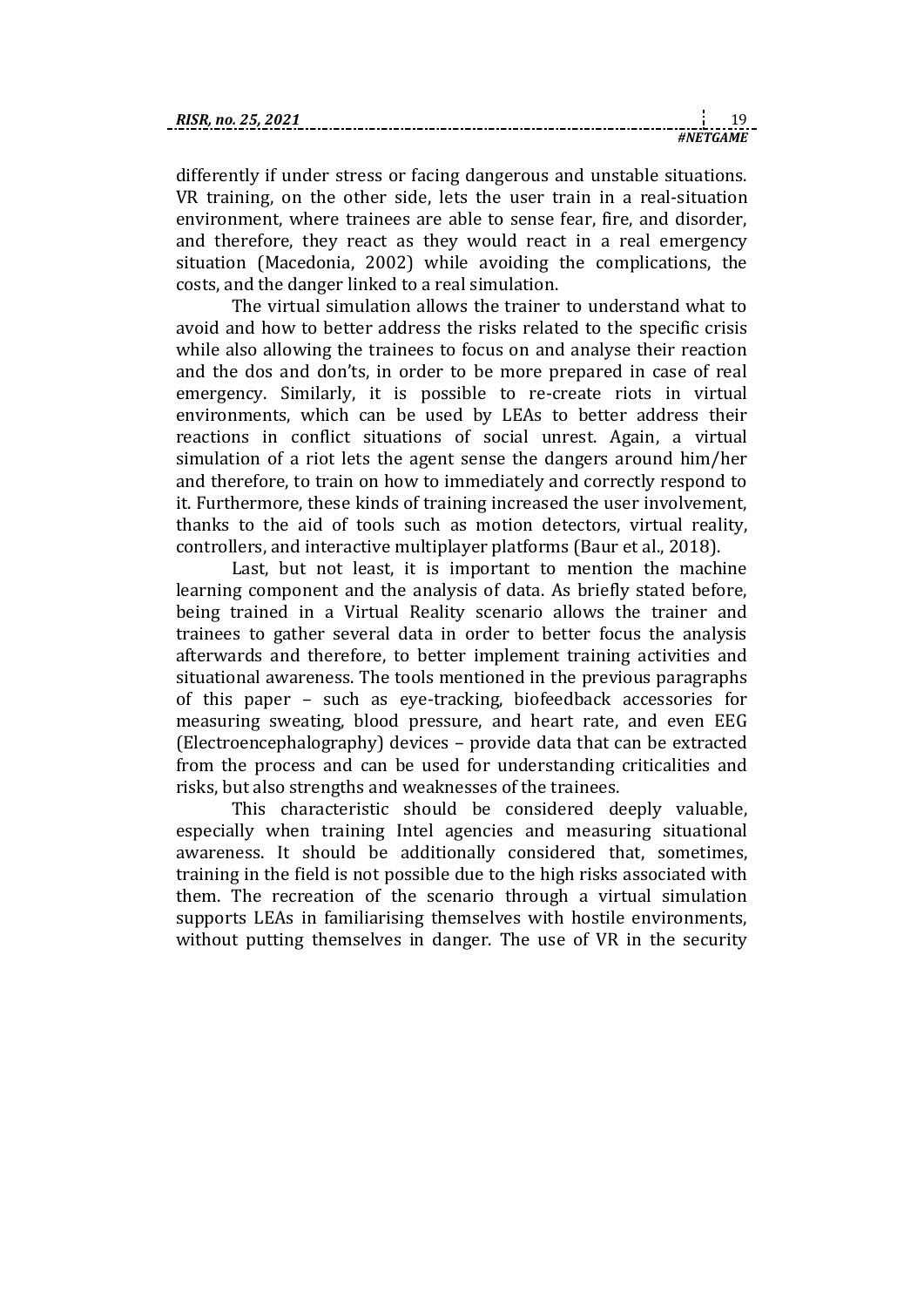| RISR. no. 25, 2021 |  |  |
|--------------------|--|--|
|                    |  |  |

differently if under stress or facing dangerous and unstable situations. VR training, on the other side, lets the user train in a real-situation environment, where trainees are able to sense fear, fire, and disorder, and therefore, they react as they would react in a real emergency situation (Macedonia, 2002) while avoiding the complications, the costs, and the danger linked to a real simulation.

*#NETGAME*

The virtual simulation allows the trainer to understand what to avoid and how to better address the risks related to the specific crisis while also allowing the trainees to focus on and analyse their reaction and the dos and don'ts, in order to be more prepared in case of real emergency. Similarly, it is possible to re-create riots in virtual environments, which can be used by LEAs to better address their reactions in conflict situations of social unrest. Again, a virtual simulation of a riot lets the agent sense the dangers around him/her and therefore, to train on how to immediately and correctly respond to it. Furthermore, these kinds of training increased the user involvement, thanks to the aid of tools such as motion detectors, virtual reality, controllers, and interactive multiplayer platforms (Baur et al., 2018).

Last, but not least, it is important to mention the machine learning component and the analysis of data. As briefly stated before, being trained in a Virtual Reality scenario allows the trainer and trainees to gather several data in order to better focus the analysis afterwards and therefore, to better implement training activities and situational awareness. The tools mentioned in the previous paragraphs of this paper – such as eye-tracking, biofeedback accessories for measuring sweating, blood pressure, and heart rate, and even EEG (Electroencephalography) devices – provide data that can be extracted from the process and can be used for understanding criticalities and risks, but also strengths and weaknesses of the trainees.

This characteristic should be considered deeply valuable, especially when training Intel agencies and measuring situational awareness. It should be additionally considered that, sometimes, training in the field is not possible due to the high risks associated with them. The recreation of the scenario through a virtual simulation supports LEAs in familiarising themselves with hostile environments, without putting themselves in danger. The use of VR in the security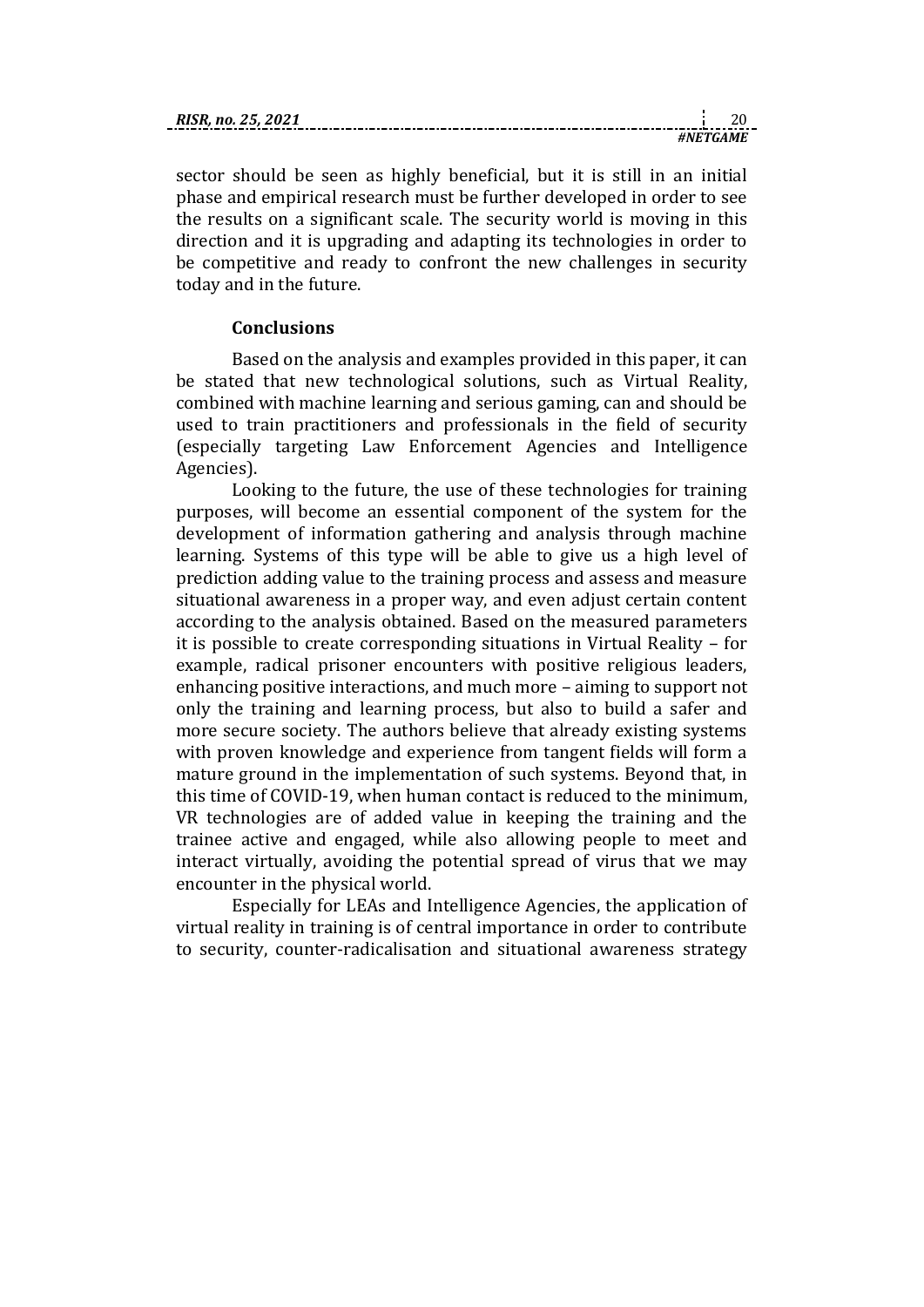sector should be seen as highly beneficial, but it is still in an initial phase and empirical research must be further developed in order to see the results on a significant scale. The security world is moving in this

direction and it is upgrading and adapting its technologies in order to be competitive and ready to confront the new challenges in security today and in the future.

#### **Conclusions**

Based on the analysis and examples provided in this paper, it can be stated that new technological solutions, such as Virtual Reality, combined with machine learning and serious gaming, can and should be used to train practitioners and professionals in the field of security (especially targeting Law Enforcement Agencies and Intelligence Agencies).

Looking to the future, the use of these technologies for training purposes, will become an essential component of the system for the development of information gathering and analysis through machine learning. Systems of this type will be able to give us a high level of prediction adding value to the training process and assess and measure situational awareness in a proper way, and even adjust certain content according to the analysis obtained. Based on the measured parameters it is possible to create corresponding situations in Virtual Reality – for example, radical prisoner encounters with positive religious leaders, enhancing positive interactions, and much more – aiming to support not only the training and learning process, but also to build a safer and more secure society. The authors believe that already existing systems with proven knowledge and experience from tangent fields will form a mature ground in the implementation of such systems. Beyond that, in this time of COVID-19, when human contact is reduced to the minimum, VR technologies are of added value in keeping the training and the trainee active and engaged, while also allowing people to meet and interact virtually, avoiding the potential spread of virus that we may encounter in the physical world.

Especially for LEAs and Intelligence Agencies, the application of virtual reality in training is of central importance in order to contribute to security, counter-radicalisation and situational awareness strategy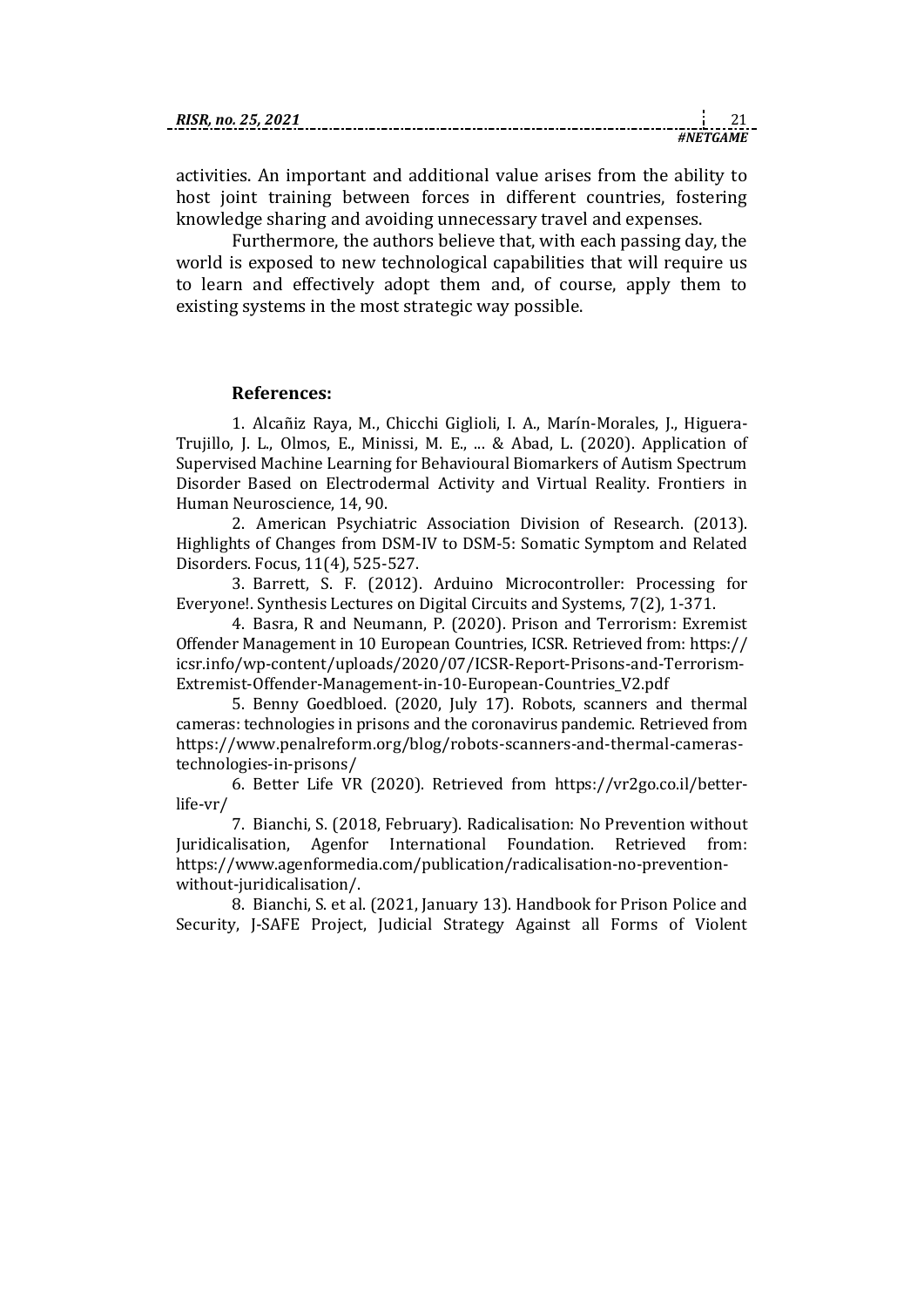activities. An important and additional value arises from the ability to host joint training between forces in different countries, fostering knowledge sharing and avoiding unnecessary travel and expenses.

Furthermore, the authors believe that, with each passing day, the world is exposed to new technological capabilities that will require us to learn and effectively adopt them and, of course, apply them to existing systems in the most strategic way possible.

#### **References:**

1. Alcañiz Raya, M., Chicchi Giglioli, I. A., Marín-Morales, J., Higuera-Trujillo, J. L., Olmos, E., Minissi, M. E., ... & Abad, L. (2020). Application of Supervised Machine Learning for Behavioural Biomarkers of Autism Spectrum Disorder Based on Electrodermal Activity and Virtual Reality. Frontiers in Human Neuroscience, 14, 90.

2. American Psychiatric Association Division of Research. (2013). Highlights of Changes from DSM-IV to DSM-5: Somatic Symptom and Related Disorders. Focus, 11(4), 525-527.

3. Barrett, S. F. (2012). Arduino Microcontroller: Processing for Everyone!. Synthesis Lectures on Digital Circuits and Systems, 7(2), 1-371.

4. Basra, R and Neumann, P. (2020). Prison and Terrorism: Exremist Offender Management in 10 European Countries, ICSR. Retrieved from: https:// icsr.info/wp-content/uploads/2020/07/ICSR-Report-Prisons-and-Terrorism-Extremist-Offender-Management-in-10-European-Countries\_V2.pdf

5. Benny Goedbloed. (2020, July 17). Robots, scanners and thermal cameras: technologies in prisons and the coronavirus pandemic. Retrieved from https://www.penalreform.org/blog/robots-scanners-and-thermal-camerastechnologies-in-prisons/

6. Better Life VR (2020). Retrieved from https://vr2go.co.il/betterlife-vr/

7. Bianchi, S. (2018, February). Radicalisation: No Prevention without Juridicalisation, Agenfor International Foundation. Retrieved from: https://www.agenformedia.com/publication/radicalisation-no-preventionwithout-juridicalisation/.

8. Bianchi, S. et al. (2021, January 13). Handbook for Prison Police and Security, J-SAFE Project, Judicial Strategy Against all Forms of Violent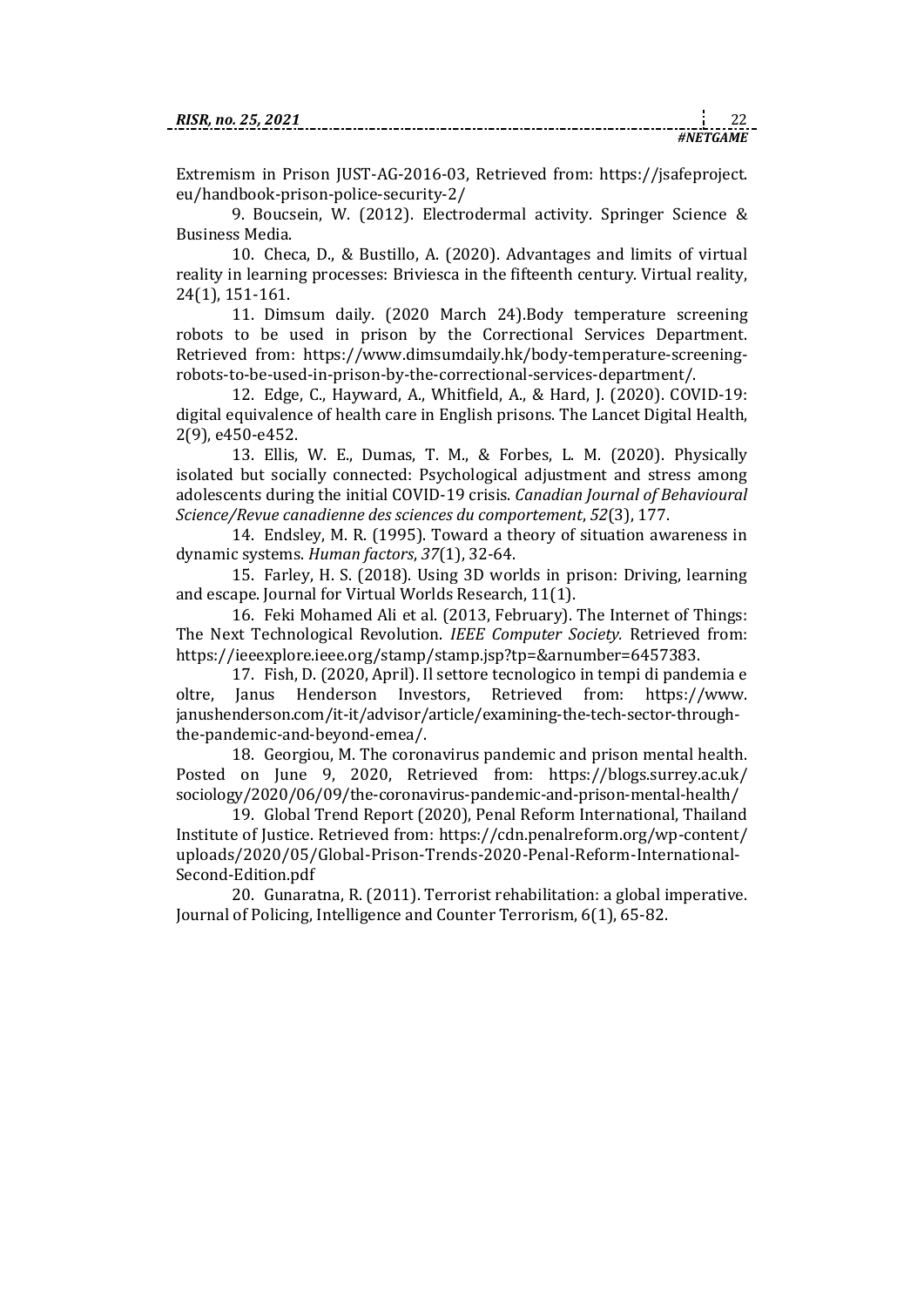Extremism in Prison JUST-AG-2016-03, Retrieved from: https://jsafeproject. eu/handbook-prison-police-security-2/

9. Boucsein, W. (2012). Electrodermal activity. Springer Science & Business Media.

10. Checa, D., & Bustillo, A. (2020). Advantages and limits of virtual reality in learning processes: Briviesca in the fifteenth century. Virtual reality, 24(1), 151-161.

11. Dimsum daily. (2020 March 24).Body temperature screening robots to be used in prison by the Correctional Services Department. Retrieved from: https://www.dimsumdaily.hk/body-temperature-screeningrobots-to-be-used-in-prison-by-the-correctional-services-department/.

12. Edge, C., Hayward, A., Whitfield, A., & Hard, J. (2020). COVID-19: digital equivalence of health care in English prisons. The Lancet Digital Health, 2(9), e450-e452.

13. Ellis, W. E., Dumas, T. M., & Forbes, L. M. (2020). Physically isolated but socially connected: Psychological adjustment and stress among adolescents during the initial COVID-19 crisis. *Canadian Journal of Behavioural Science/Revue canadienne des sciences du comportement*, *52*(3), 177.

14. Endsley, M. R. (1995). Toward a theory of situation awareness in dynamic systems. *Human factors*, *37*(1), 32-64.

15. Farley, H. S. (2018). Using 3D worlds in prison: Driving, learning and escape. Journal for Virtual Worlds Research, 11(1).

16. Feki Mohamed Ali et al. (2013, February). The Internet of Things: The Next Technological Revolution. *IEEE Computer Society.* Retrieved from: https://ieeexplore.ieee.org/stamp/stamp.jsp?tp=&arnumber=6457383.

17. Fish, D. (2020, April). Il settore tecnologico in tempi di pandemia e oltre, Janus Henderson Investors, Retrieved from: [https://www.](https://www.janushenderson.com/it-it/advisor/article/examining-the-tech-sector-through-the-pandemic-and-beyond-emea/) [janushenderson.com/it-it/advisor/article/examining-the-tech-sector-through](https://www.janushenderson.com/it-it/advisor/article/examining-the-tech-sector-through-the-pandemic-and-beyond-emea/)[the-pandemic-and-beyond-emea/.](https://www.janushenderson.com/it-it/advisor/article/examining-the-tech-sector-through-the-pandemic-and-beyond-emea/)

18. Georgiou, M. The coronavirus pandemic and prison mental health. Posted on [June 9, 2020,](https://blogs.surrey.ac.uk/sociology/2020/06/09/the-coronavirus-pandemic-and-prison-mental-health/) Retrieved from: [https://blogs.surrey.ac.uk/](https://blogs.surrey.ac.uk/sociology/2020/06/09/the-coronavirus-pandemic-and-prison-mental-health/) [sociology/2020/06/09/the-coronavirus-pandemic-and-prison-mental-health/](https://blogs.surrey.ac.uk/sociology/2020/06/09/the-coronavirus-pandemic-and-prison-mental-health/)

19. Global Trend Report (2020), Penal Reform International, Thailand Institute of Justice. Retrieved from: [https://cdn.penalreform.org/wp-content/](https://cdn.penalreform.org/wp-content/uploads/2020/05/Global-Prison-Trends-2020-Penal-Reform-International-Second-Edition.pdf) [uploads/2020/05/Global-Prison-Trends-2020-Penal-Reform-International-](https://cdn.penalreform.org/wp-content/uploads/2020/05/Global-Prison-Trends-2020-Penal-Reform-International-Second-Edition.pdf)[Second-Edition.pdf](https://cdn.penalreform.org/wp-content/uploads/2020/05/Global-Prison-Trends-2020-Penal-Reform-International-Second-Edition.pdf)

20. Gunaratna, R. (2011). Terrorist rehabilitation: a global imperative. Journal of Policing, Intelligence and Counter Terrorism, 6(1), 65-82.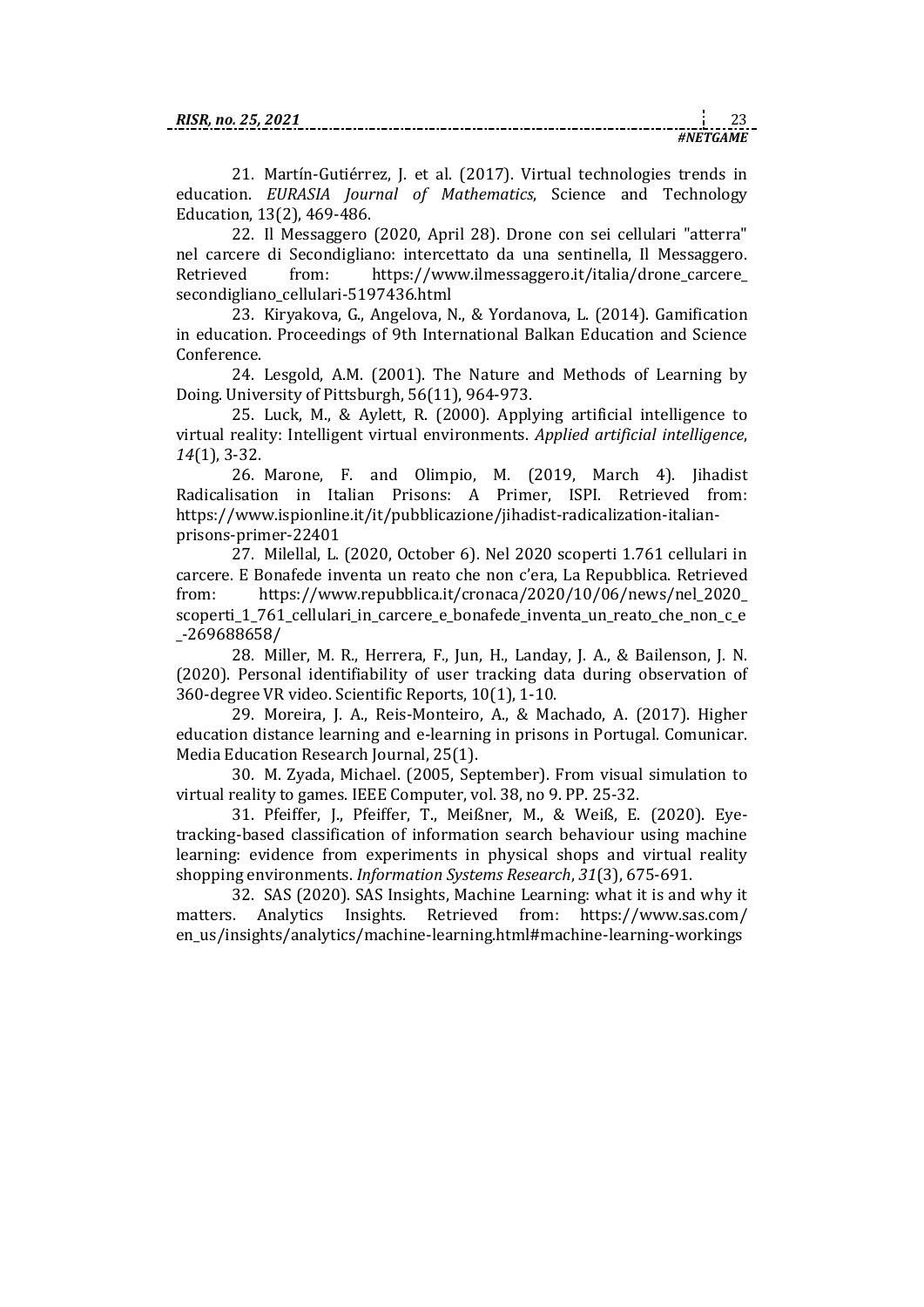21. Martín-Gutiérrez, J. et al. (2017). Virtual technologies trends in education. *EURASIA Journal of Mathematics*, Science and Technology Education, 13(2), 469-486.

22. Il Messaggero (2020, April 28). Drone con sei cellulari "atterra" nel carcere di Secondigliano: intercettato da una sentinella, Il Messaggero. Retrieved from: https://www.ilmessaggero.it/italia/drone carcere [secondigliano\\_cellulari-5197436.html](https://www.ilmessaggero.it/italia/drone_carcere_secondigliano_cellulari-5197436.html)

23. Kiryakova, G., Angelova, N., & Yordanova, L. (2014). Gamification in education. Proceedings of 9th International Balkan Education and Science Conference.

24. Lesgold, A.M. (2001). The Nature and Methods of Learning by Doing. University of Pittsburgh, 56(11), 964-973.

25. Luck, M., & Aylett, R. (2000). Applying artificial intelligence to virtual reality: Intelligent virtual environments. *Applied artificial intelligence*, *14*(1), 3-32.

26. Marone, F. and Olimpio, M. (2019, March 4). Jihadist Radicalisation in Italian Prisons: A Primer, ISPI. Retrieved from: [https://www.ispionline.it/it/pubblicazione/jihadist-radicalization-italian](https://www.ispionline.it/it/pubblicazione/jihadist-radicalization-italian-prisons-primer-22401)[prisons-primer-22401](https://www.ispionline.it/it/pubblicazione/jihadist-radicalization-italian-prisons-primer-22401)

27. Milellal, L. (2020, October 6). Nel 2020 scoperti 1.761 cellulari in carcere. E Bonafede inventa un reato che non c'era, La Repubblica. Retrieved from: [https://www.repubblica.it/cronaca/2020/10/06/news/nel\\_2020\\_](https://www.repubblica.it/cronaca/2020/10/06/news/nel_2020_scoperti_1_761_cellulari_in_carcere_e_bonafede_inventa_un_reato_che_non_c_e_-269688658/) scoperti 1 761 cellulari in carcere e bonafede inventa un reato che non c e [\\_-269688658/](https://www.repubblica.it/cronaca/2020/10/06/news/nel_2020_scoperti_1_761_cellulari_in_carcere_e_bonafede_inventa_un_reato_che_non_c_e_-269688658/)

28. Miller, M. R., Herrera, F., Jun, H., Landay, J. A., & Bailenson, J. N. (2020). Personal identifiability of user tracking data during observation of 360-degree VR video. Scientific Reports, 10(1), 1-10.

29. Moreira, J. A., Reis-Monteiro, A., & Machado, A. (2017). Higher education distance learning and e-learning in prisons in Portugal. Comunicar. Media Education Research Journal, 25(1).

30. M. Zyada, Michael. (2005, September). From visual simulation to virtual reality to games. IEEE Computer, vol. 38, no 9. PP. 25-32.

31. Pfeiffer, J., Pfeiffer, T., Meißner, M., & Weiß, E. (2020). Eyetracking-based classification of information search behaviour using machine learning: evidence from experiments in physical shops and virtual reality shopping environments. *Information Systems Research*, *31*(3), 675-691.

32. SAS (2020). SAS Insights, Machine Learning: what it is and why it matters. Analytics Insights. Retrieved from: [https://www.sas.com/](https://www.sas.com/en_us/insights/analytics/machine-learning.html#machine-learning-workings) [en\\_us/insights/analytics/machine-learning.html#machine-learning-workings](https://www.sas.com/en_us/insights/analytics/machine-learning.html#machine-learning-workings)